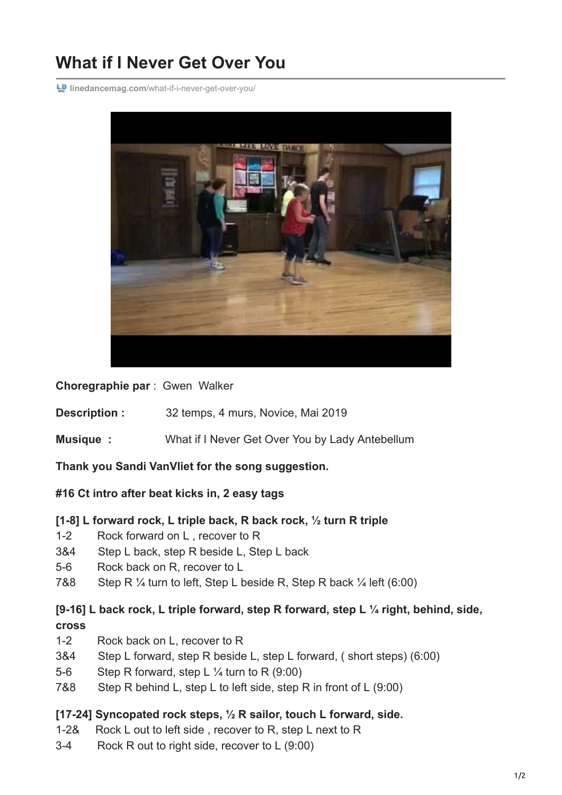# **What if I Never Get Over You**

**L.** Inedancemag.com[/what-if-i-never-get-over-you/](https://www.linedancemag.com/what-if-i-never-get-over-you/)



**Choregraphie par** : Gwen Walker

**Description :** 32 temps, 4 murs, Novice, Mai 2019

**Musique :** What if I Never Get Over You by Lady Antebellum

**Thank you Sandi VanVliet for the song suggestion.**

## **#16 Ct intro after beat kicks in, 2 easy tags**

## **[1-8] L forward rock, L triple back, R back rock, ½ turn R triple**

- 1-2 Rock forward on L , recover to R
- 3&4 Step L back, step R beside L, Step L back
- 5-6 Rock back on R, recover to L
- 7&8 Step R  $\frac{1}{4}$  turn to left, Step L beside R, Step R back  $\frac{1}{4}$  left (6:00)

## **[9-16] L back rock, L triple forward, step R forward, step L ¼ right, behind, side, cross**

- 1-2 Rock back on L, recover to R
- 3&4 Step L forward, step R beside L, step L forward, ( short steps) (6:00)
- 5-6 Step R forward, step L ¼ turn to R (9:00)
- 7&8 Step R behind L, step L to left side, step R in front of L (9:00)

## **[17-24] Syncopated rock steps, ½ R sailor, touch L forward, side.**

- 1-2& Rock L out to left side , recover to R, step L next to R
- 3-4 Rock R out to right side, recover to L (9:00)